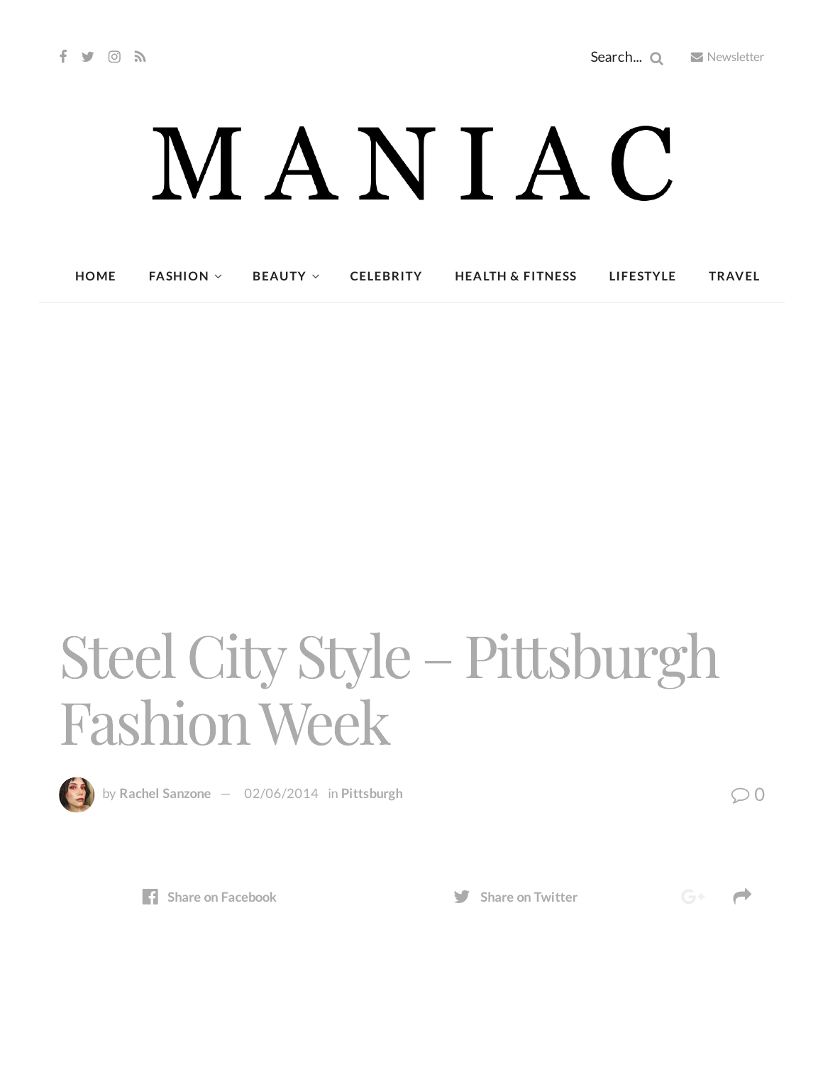## MANIAC

**[HOME](http://maniacmagazine.com/) [FASHION](http://maniacmagazine.com/fashion/) [BEAUTY](http://maniacmagazine.com/beauty/) [CELEBRITY](http://maniacmagazine.com/celebrity/) HEALTH & [FITNESS](http://maniacmagazine.com/beauty/health-and-fitness/) [LIFESTYLE](http://maniacmagazine.com/lifestyle/) [TRAVEL](http://maniacmagazine.com/life/travel/)**

## Steel City Style – Pittsburgh FashionWeek



by Rachel [Sanzone](http://maniacmagazine.com/author/rachel/)  $-$  [02/06/2014](http://maniacmagazine.com/locations/pittsburgh/steel-city-style-pittsburgh-fashion-week/) in [Pittsburgh](http://maniacmagazine.com/locations/pittsburgh/)  $\oslash$  0



**Share** on **[Facebook](http://www.facebook.com/sharer.php?u=http%3A%2F%2Fmaniacmagazine.com%2Flocations%2Fpittsburgh%2Fsteel-city-style-pittsburgh-fashion-week%2F) Share Share** on **[Twitter](https://twitter.com/intent/tweet?text=Steel+City+Style+%E2%80%93+Pittsburgh+Fashion+Week&url=http%3A%2F%2Fmaniacmagazine.com%2Flocations%2Fpittsburgh%2Fsteel-city-style-pittsburgh-fashion-week%2F)** 

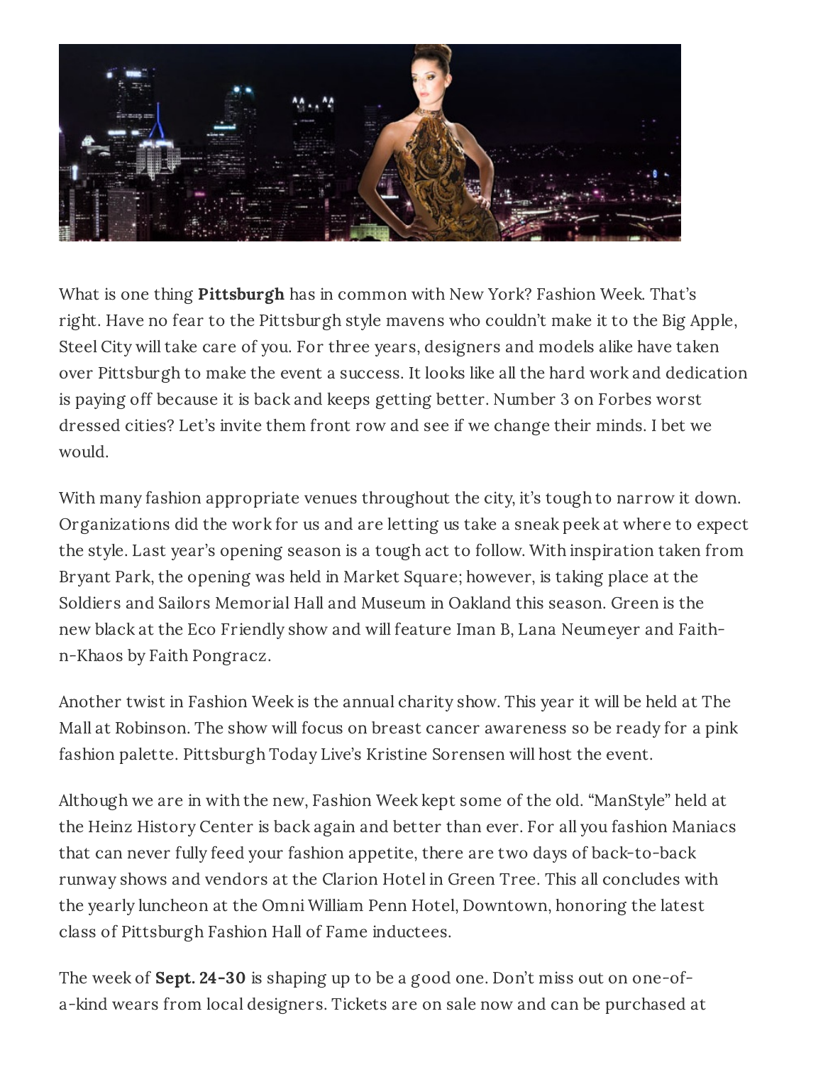

What is one thing **Pittsburgh** has in common with New York? Fashion Week. That's right. Have no fear to the Pittsburgh style mavens who couldn't make it to the Big Apple, Steel City will take care of you. For three years, designers and models alike have taken over Pittsburgh to make the event a success. It looks like all the hard work and dedication is paying off because it is back and keeps getting better. Number 3 on Forbes worst dressed cities? Let's invite them front row and see if we change their minds. I bet we would.

With many fashion appropriate venues throughout the city, it's tough to narrow it down. Organizations did the work for us and are letting us take a sneak peek at where to expect the style. Last year's opening season is a tough act to follow. With inspiration taken from Bryant Park, the opening was held in Market Square; however, is taking place at the Soldiers and Sailors Memorial Hall and Museum in Oakland this season. Green is the new black at the Eco Friendly show and will feature Iman B, Lana Neumeyer and Faithn-Khaos by Faith Pongracz.

Another twist in Fashion Week is the annual charity show. This year it will be held at The Mall at Robinson. The show will focus on breast cancer awareness so be ready for a pink fashion palette. Pittsburgh Today Live's Kristine Sorensen will host the event.

Although we are in with the new, Fashion Week kept some of the old. "ManStyle" held at the Heinz History Center is back again and better than ever. For all you fashion Maniacs that can never fully feed your fashion appetite, there are two days of back-to-back runway shows and vendors at the Clarion Hotel in Green Tree. This all concludes with the yearly luncheon at the Omni William Penn Hotel, Downtown, honoring the latest class of Pittsburgh Fashion Hall of Fame inductees.

The week of **Sept. 24-30** is shaping up to be a good one. Don't miss out on one-ofa-kind wears from local designers. Tickets are on sale now and can be purchased at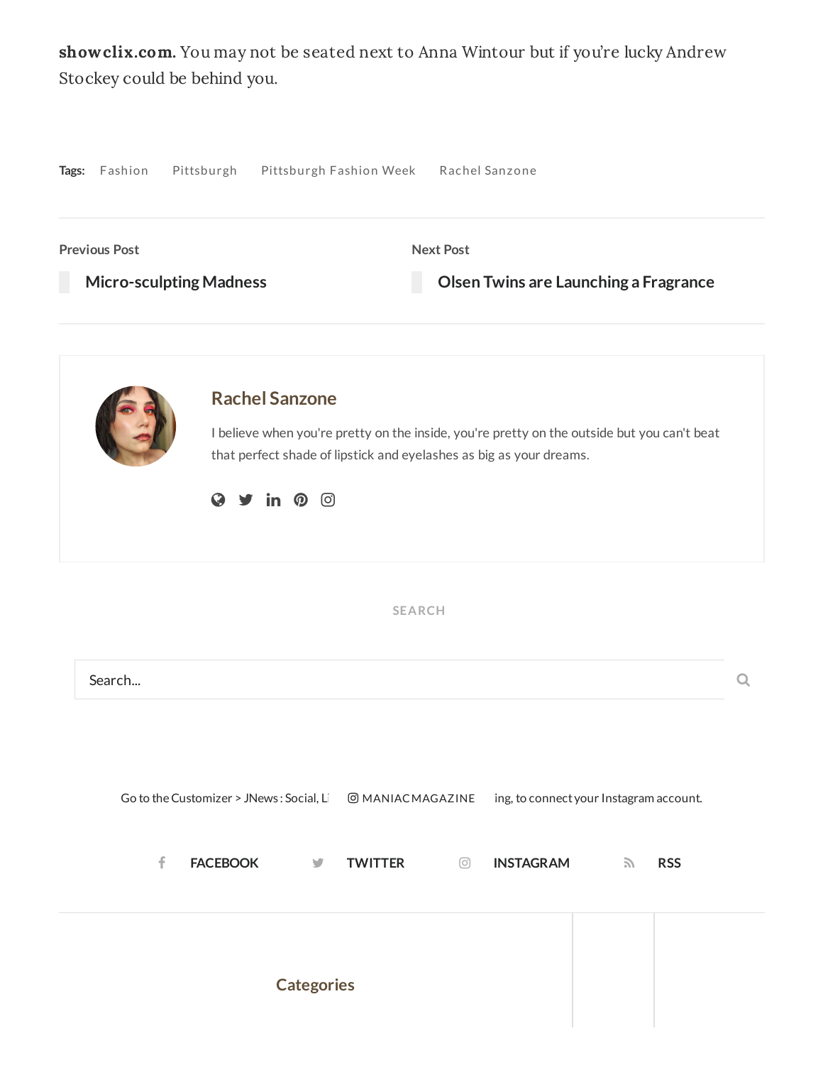showclix.com. You may not be seated next to Anna Wintour but if you're lucky Andrew Stockey could be behind you.

| Pittsburgh<br>Tags: Fashion                                                          | Pittsburgh Fashion Week Rachel Sanzone                                                                                                                             |
|--------------------------------------------------------------------------------------|--------------------------------------------------------------------------------------------------------------------------------------------------------------------|
| <b>Previous Post</b><br><b>Micro-sculpting Madness</b>                               | <b>Next Post</b><br>Olsen Twins are Launching a Fragrance                                                                                                          |
| <b>Rachel Sanzone</b><br>$\mathsf{in} \; \; \mathsf{\Omega} \; \; \circledcirc$<br>Q | I believe when you're pretty on the inside, you're pretty on the outside but you can't beat<br>that perfect shade of lipstick and eyelashes as big as your dreams. |
|                                                                                      | <b>SEARCH</b>                                                                                                                                                      |
| Search                                                                               | Q                                                                                                                                                                  |
| Go to the Customizer > JNews: Social, Li<br>f<br><b>FACEBOOK</b><br>y                | ing, to connect your Instagram account.<br><b>@MANIACMAGAZINE</b><br><b>TWITTER</b><br><b>INSTAGRAM</b><br><b>RSS</b><br>$\circledcirc$<br>$\mathcal{L}$           |
| <b>Categories</b>                                                                    |                                                                                                                                                                    |